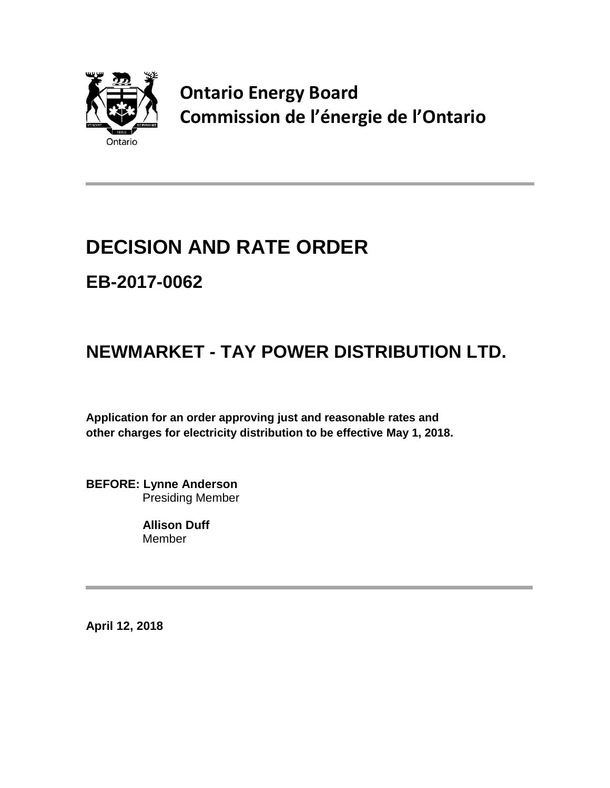

**Ontario Energy Board Commission de l'énergie de l'Ontario**

# **DECISION AND RATE ORDER**

## **EB-2017-0062**

## **NEWMARKET - TAY POWER DISTRIBUTION LTD.**

**Application for an order approving just and reasonable rates and other charges for electricity distribution to be effective May 1, 2018.**

**BEFORE: Lynne Anderson** Presiding Member

> **Allison Duff** Member

**April 12, 2018**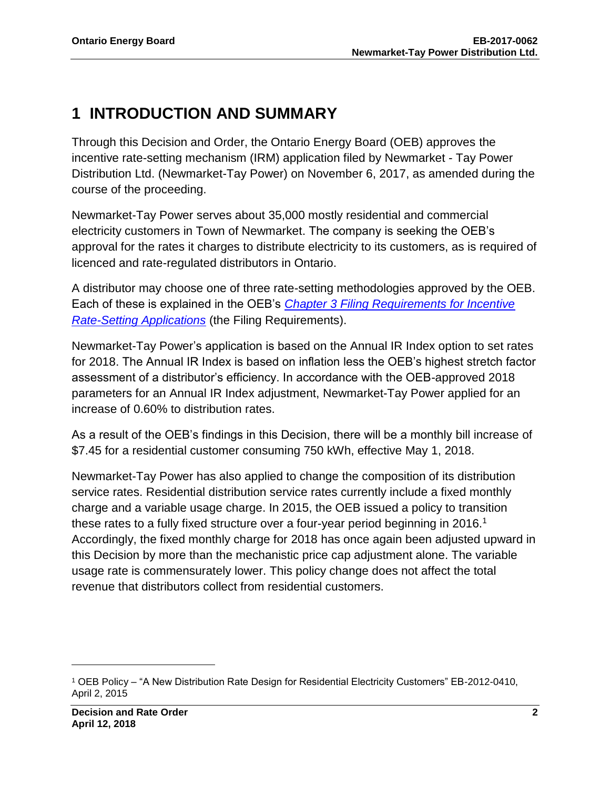### **1 INTRODUCTION AND SUMMARY**

Through this Decision and Order, the Ontario Energy Board (OEB) approves the incentive rate-setting mechanism (IRM) application filed by Newmarket - Tay Power Distribution Ltd. (Newmarket-Tay Power) on November 6, 2017, as amended during the course of the proceeding.

Newmarket-Tay Power serves about 35,000 mostly residential and commercial electricity customers in Town of Newmarket. The company is seeking the OEB's approval for the rates it charges to distribute electricity to its customers, as is required of licenced and rate-regulated distributors in Ontario.

A distributor may choose one of three rate-setting methodologies approved by the OEB. Each of these is explained in the OEB's *[Chapter 3 Filing Requirements for Incentive](https://www.oeb.ca/sites/default/files/Filing%20Requirements%20Chapter%203_20072017.pdf)  [Rate-Setting Applications](https://www.oeb.ca/sites/default/files/Filing%20Requirements%20Chapter%203_20072017.pdf)* (the Filing Requirements).

Newmarket-Tay Power's application is based on the Annual IR Index option to set rates for 2018. The Annual IR Index is based on inflation less the OEB's highest stretch factor assessment of a distributor's efficiency. In accordance with the OEB-approved 2018 parameters for an Annual IR Index adjustment, Newmarket-Tay Power applied for an increase of 0.60% to distribution rates.

As a result of the OEB's findings in this Decision, there will be a monthly bill increase of \$7.45 for a residential customer consuming 750 kWh, effective May 1, 2018.

Newmarket-Tay Power has also applied to change the composition of its distribution service rates. Residential distribution service rates currently include a fixed monthly charge and a variable usage charge. In 2015, the OEB issued a policy to transition these rates to a fully fixed structure over a four-year period beginning in 2016.<sup>1</sup> Accordingly, the fixed monthly charge for 2018 has once again been adjusted upward in this Decision by more than the mechanistic price cap adjustment alone. The variable usage rate is commensurately lower. This policy change does not affect the total revenue that distributors collect from residential customers.

 $\overline{\phantom{a}}$ 

<sup>1</sup> OEB Policy – "A New Distribution Rate Design for Residential Electricity Customers" EB-2012-0410, April 2, 2015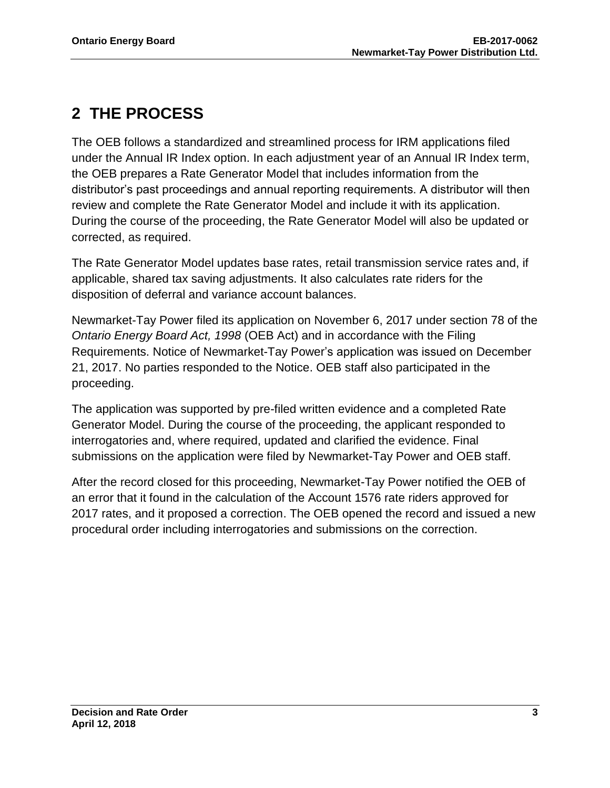## **2 THE PROCESS**

The OEB follows a standardized and streamlined process for IRM applications filed under the Annual IR Index option. In each adjustment year of an Annual IR Index term, the OEB prepares a Rate Generator Model that includes information from the distributor's past proceedings and annual reporting requirements. A distributor will then review and complete the Rate Generator Model and include it with its application. During the course of the proceeding, the Rate Generator Model will also be updated or corrected, as required.

The Rate Generator Model updates base rates, retail transmission service rates and, if applicable, shared tax saving adjustments. It also calculates rate riders for the disposition of deferral and variance account balances.

Newmarket-Tay Power filed its application on November 6, 2017 under section 78 of the *Ontario Energy Board Act, 1998* (OEB Act) and in accordance with the Filing Requirements. Notice of Newmarket-Tay Power's application was issued on December 21, 2017. No parties responded to the Notice. OEB staff also participated in the proceeding.

The application was supported by pre-filed written evidence and a completed Rate Generator Model. During the course of the proceeding, the applicant responded to interrogatories and, where required, updated and clarified the evidence. Final submissions on the application were filed by Newmarket-Tay Power and OEB staff.

After the record closed for this proceeding, Newmarket-Tay Power notified the OEB of an error that it found in the calculation of the Account 1576 rate riders approved for 2017 rates, and it proposed a correction. The OEB opened the record and issued a new procedural order including interrogatories and submissions on the correction.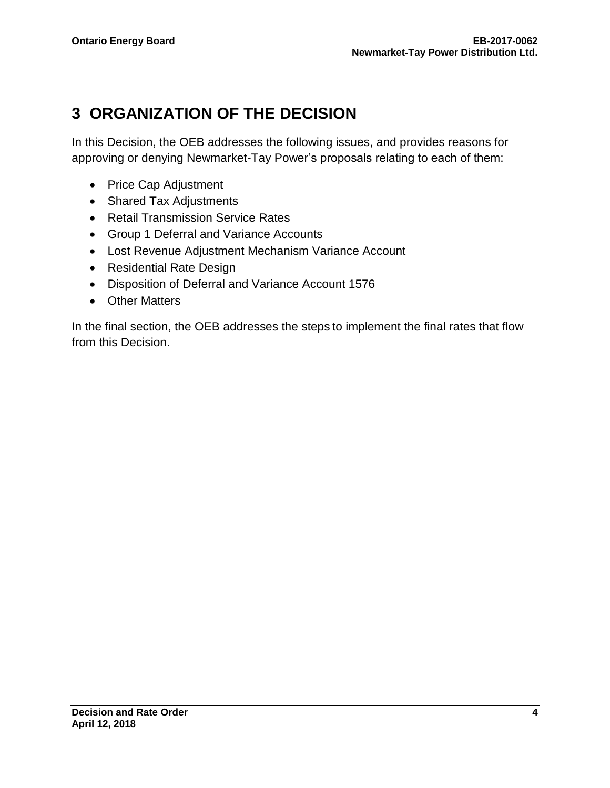## **3 ORGANIZATION OF THE DECISION**

In this Decision, the OEB addresses the following issues, and provides reasons for approving or denying Newmarket-Tay Power's proposals relating to each of them:

- Price Cap Adjustment
- Shared Tax Adjustments
- Retail Transmission Service Rates
- Group 1 Deferral and Variance Accounts
- Lost Revenue Adjustment Mechanism Variance Account
- Residential Rate Design
- Disposition of Deferral and Variance Account 1576
- Other Matters

In the final section, the OEB addresses the steps to implement the final rates that flow from this Decision.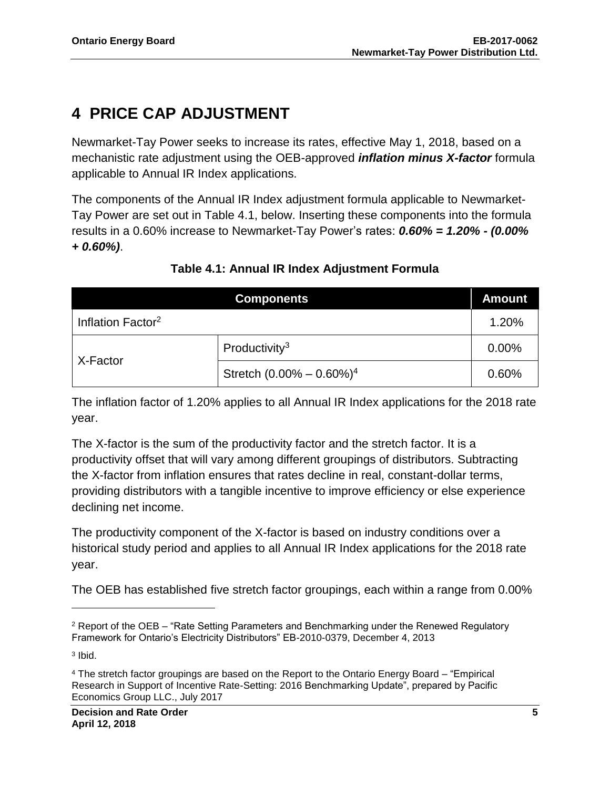## **4 PRICE CAP ADJUSTMENT**

Newmarket-Tay Power seeks to increase its rates, effective May 1, 2018, based on a mechanistic rate adjustment using the OEB-approved *inflation minus X-factor* formula applicable to Annual IR Index applications.

The components of the Annual IR Index adjustment formula applicable to Newmarket-Tay Power are set out in Table 4.1, below. Inserting these components into the formula results in a 0.60% increase to Newmarket-Tay Power's rates: *0.60% = 1.20% - (0.00% + 0.60%)*.

| <b>Components</b>             |                               | <b>Amount</b> |
|-------------------------------|-------------------------------|---------------|
| Inflation Factor <sup>2</sup> |                               | 1.20%         |
| X-Factor                      | Productivity <sup>3</sup>     | 0.00%         |
|                               | Stretch $(0.00\% - 0.60\%)^4$ | 0.60%         |

### **Table 4.1: Annual IR Index Adjustment Formula**

The inflation factor of 1.20% applies to all Annual IR Index applications for the 2018 rate year.

The X-factor is the sum of the productivity factor and the stretch factor. It is a productivity offset that will vary among different groupings of distributors. Subtracting the X-factor from inflation ensures that rates decline in real, constant-dollar terms, providing distributors with a tangible incentive to improve efficiency or else experience declining net income.

The productivity component of the X-factor is based on industry conditions over a historical study period and applies to all Annual IR Index applications for the 2018 rate year.

The OEB has established five stretch factor groupings, each within a range from 0.00%

 $\overline{\phantom{a}}$ 

<sup>2</sup> Report of the OEB – "Rate Setting Parameters and Benchmarking under the Renewed Regulatory Framework for Ontario's Electricity Distributors" EB-2010-0379, December 4, 2013

<sup>3</sup> Ibid.

<sup>4</sup> The stretch factor groupings are based on the Report to the Ontario Energy Board – "Empirical Research in Support of Incentive Rate-Setting: 2016 Benchmarking Update", prepared by Pacific Economics Group LLC., July 2017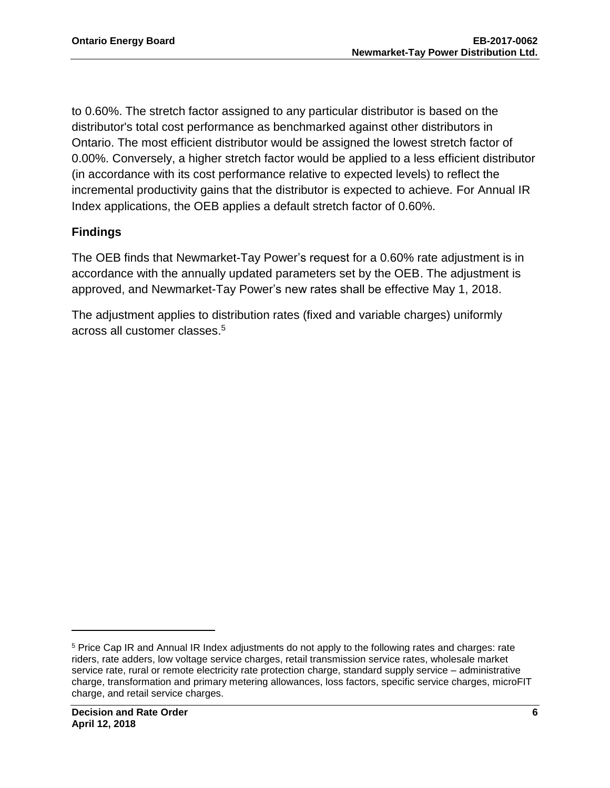to 0.60%. The stretch factor assigned to any particular distributor is based on the distributor's total cost performance as benchmarked against other distributors in Ontario. The most efficient distributor would be assigned the lowest stretch factor of 0.00%. Conversely, a higher stretch factor would be applied to a less efficient distributor (in accordance with its cost performance relative to expected levels) to reflect the incremental productivity gains that the distributor is expected to achieve. For Annual IR Index applications, the OEB applies a default stretch factor of 0.60%.

#### **Findings**

The OEB finds that Newmarket-Tay Power's request for a 0.60% rate adjustment is in accordance with the annually updated parameters set by the OEB. The adjustment is approved, and Newmarket-Tay Power's new rates shall be effective May 1, 2018.

The adjustment applies to distribution rates (fixed and variable charges) uniformly across all customer classes. 5

l

<sup>5</sup> Price Cap IR and Annual IR Index adjustments do not apply to the following rates and charges: rate riders, rate adders, low voltage service charges, retail transmission service rates, wholesale market service rate, rural or remote electricity rate protection charge, standard supply service – administrative charge, transformation and primary metering allowances, loss factors, specific service charges, microFIT charge, and retail service charges.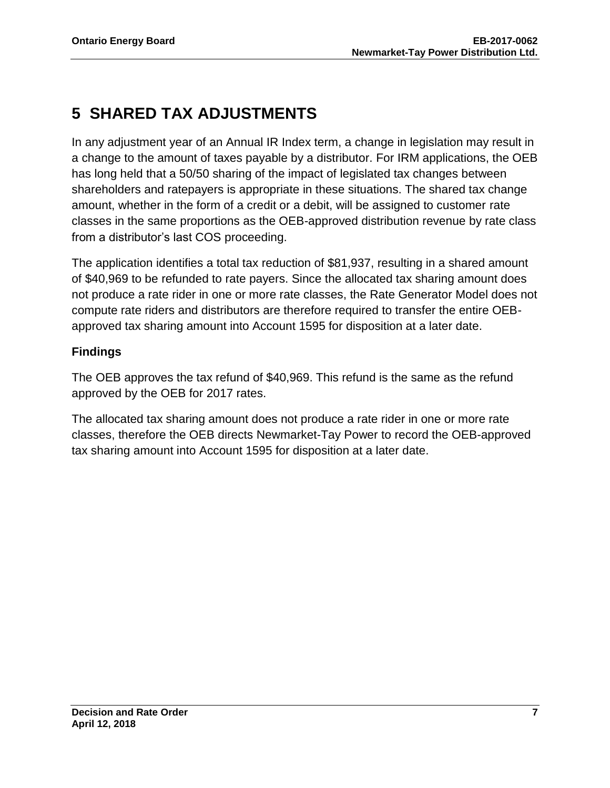## **5 SHARED TAX ADJUSTMENTS**

In any adjustment year of an Annual IR Index term, a change in legislation may result in a change to the amount of taxes payable by a distributor. For IRM applications, the OEB has long held that a 50/50 sharing of the impact of legislated tax changes between shareholders and ratepayers is appropriate in these situations. The shared tax change amount, whether in the form of a credit or a debit, will be assigned to customer rate classes in the same proportions as the OEB-approved distribution revenue by rate class from a distributor's last COS proceeding.

The application identifies a total tax reduction of \$81,937, resulting in a shared amount of \$40,969 to be refunded to rate payers. Since the allocated tax sharing amount does not produce a rate rider in one or more rate classes, the Rate Generator Model does not compute rate riders and distributors are therefore required to transfer the entire OEBapproved tax sharing amount into Account 1595 for disposition at a later date.

### **Findings**

The OEB approves the tax refund of \$40,969. This refund is the same as the refund approved by the OEB for 2017 rates.

The allocated tax sharing amount does not produce a rate rider in one or more rate classes, therefore the OEB directs Newmarket-Tay Power to record the OEB-approved tax sharing amount into Account 1595 for disposition at a later date.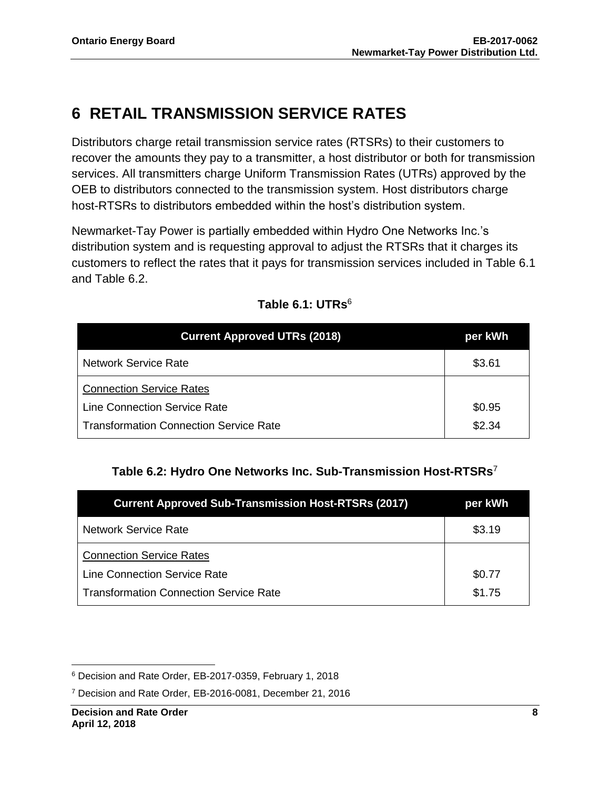## **6 RETAIL TRANSMISSION SERVICE RATES**

Distributors charge retail transmission service rates (RTSRs) to their customers to recover the amounts they pay to a transmitter, a host distributor or both for transmission services. All transmitters charge Uniform Transmission Rates (UTRs) approved by the OEB to distributors connected to the transmission system. Host distributors charge host-RTSRs to distributors embedded within the host's distribution system.

Newmarket-Tay Power is partially embedded within Hydro One Networks Inc.'s distribution system and is requesting approval to adjust the RTSRs that it charges its customers to reflect the rates that it pays for transmission services included in Table 6.1 and Table 6.2.

| <b>Current Approved UTRs (2018)</b>           | per kWh |
|-----------------------------------------------|---------|
| <b>Network Service Rate</b>                   | \$3.61  |
| <b>Connection Service Rates</b>               |         |
| <b>Line Connection Service Rate</b>           | \$0.95  |
| <b>Transformation Connection Service Rate</b> | \$2.34  |

#### **Table 6.1: UTRs**<sup>6</sup>

#### **Table 6.2: Hydro One Networks Inc. Sub-Transmission Host-RTSRs**<sup>7</sup>

| <b>Current Approved Sub-Transmission Host-RTSRs (2017)</b> | per kWh |
|------------------------------------------------------------|---------|
| <b>Network Service Rate</b>                                | \$3.19  |
| <b>Connection Service Rates</b>                            |         |
| <b>Line Connection Service Rate</b>                        | \$0.77  |
| <b>Transformation Connection Service Rate</b>              | \$1.75  |

 $\overline{\phantom{a}}$ 

<sup>6</sup> Decision and Rate Order, EB-2017-0359, February 1, 2018

<sup>7</sup> Decision and Rate Order, EB-2016-0081, December 21, 2016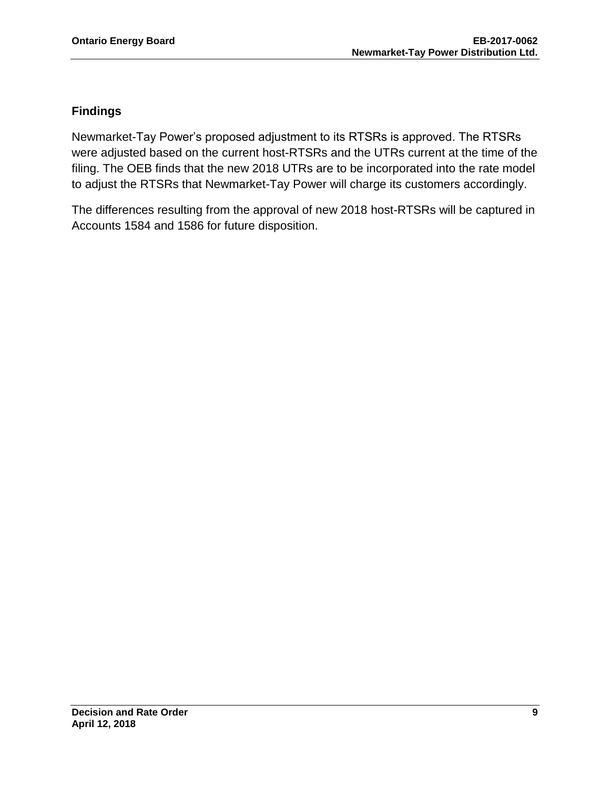#### **Findings**

Newmarket-Tay Power's proposed adjustment to its RTSRs is approved. The RTSRs were adjusted based on the current host-RTSRs and the UTRs current at the time of the filing. The OEB finds that the new 2018 UTRs are to be incorporated into the rate model to adjust the RTSRs that Newmarket-Tay Power will charge its customers accordingly.

The differences resulting from the approval of new 2018 host-RTSRs will be captured in Accounts 1584 and 1586 for future disposition.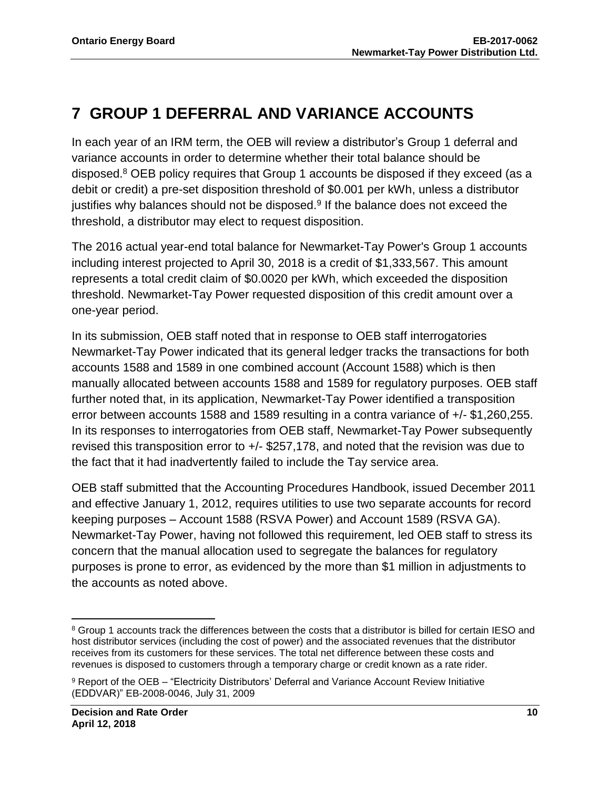## **7 GROUP 1 DEFERRAL AND VARIANCE ACCOUNTS**

In each year of an IRM term, the OEB will review a distributor's Group 1 deferral and variance accounts in order to determine whether their total balance should be disposed.<sup>8</sup> OEB policy requires that Group 1 accounts be disposed if they exceed (as a debit or credit) a pre-set disposition threshold of \$0.001 per kWh, unless a distributor justifies why balances should not be disposed.<sup>9</sup> If the balance does not exceed the threshold, a distributor may elect to request disposition.

The 2016 actual year-end total balance for Newmarket-Tay Power's Group 1 accounts including interest projected to April 30, 2018 is a credit of \$1,333,567. This amount represents a total credit claim of \$0.0020 per kWh, which exceeded the disposition threshold. Newmarket-Tay Power requested disposition of this credit amount over a one-year period.

In its submission, OEB staff noted that in response to OEB staff interrogatories Newmarket-Tay Power indicated that its general ledger tracks the transactions for both accounts 1588 and 1589 in one combined account (Account 1588) which is then manually allocated between accounts 1588 and 1589 for regulatory purposes. OEB staff further noted that, in its application, Newmarket-Tay Power identified a transposition error between accounts 1588 and 1589 resulting in a contra variance of +/- \$1,260,255. In its responses to interrogatories from OEB staff, Newmarket-Tay Power subsequently revised this transposition error to +/- \$257,178, and noted that the revision was due to the fact that it had inadvertently failed to include the Tay service area.

OEB staff submitted that the Accounting Procedures Handbook, issued December 2011 and effective January 1, 2012, requires utilities to use two separate accounts for record keeping purposes – Account 1588 (RSVA Power) and Account 1589 (RSVA GA). Newmarket-Tay Power, having not followed this requirement, led OEB staff to stress its concern that the manual allocation used to segregate the balances for regulatory purposes is prone to error, as evidenced by the more than \$1 million in adjustments to the accounts as noted above.

 $\overline{\phantom{a}}$ <sup>8</sup> Group 1 accounts track the differences between the costs that a distributor is billed for certain IESO and host distributor services (including the cost of power) and the associated revenues that the distributor receives from its customers for these services. The total net difference between these costs and revenues is disposed to customers through a temporary charge or credit known as a rate rider.

<sup>9</sup> Report of the OEB – "Electricity Distributors' Deferral and Variance Account Review Initiative (EDDVAR)" EB-2008-0046, July 31, 2009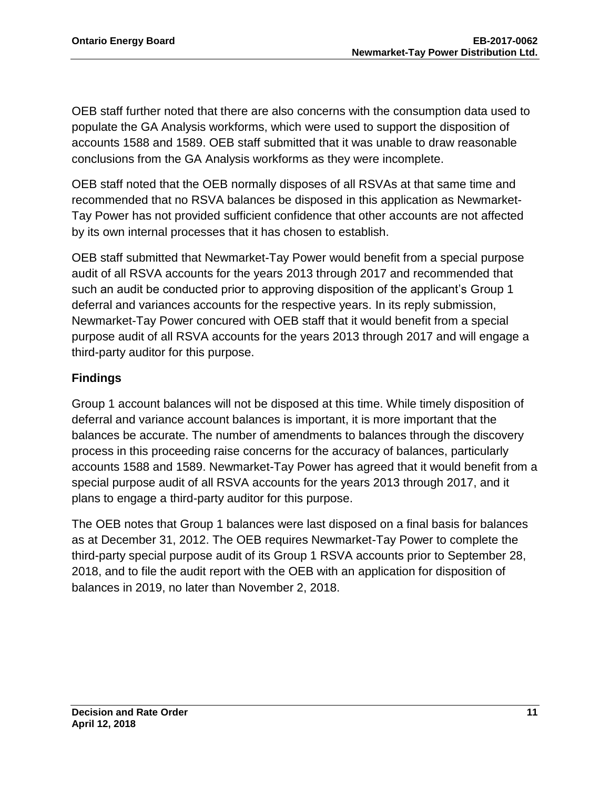OEB staff further noted that there are also concerns with the consumption data used to populate the GA Analysis workforms, which were used to support the disposition of accounts 1588 and 1589. OEB staff submitted that it was unable to draw reasonable conclusions from the GA Analysis workforms as they were incomplete.

OEB staff noted that the OEB normally disposes of all RSVAs at that same time and recommended that no RSVA balances be disposed in this application as Newmarket-Tay Power has not provided sufficient confidence that other accounts are not affected by its own internal processes that it has chosen to establish.

OEB staff submitted that Newmarket-Tay Power would benefit from a special purpose audit of all RSVA accounts for the years 2013 through 2017 and recommended that such an audit be conducted prior to approving disposition of the applicant's Group 1 deferral and variances accounts for the respective years. In its reply submission, Newmarket-Tay Power concured with OEB staff that it would benefit from a special purpose audit of all RSVA accounts for the years 2013 through 2017 and will engage a third-party auditor for this purpose.

#### **Findings**

Group 1 account balances will not be disposed at this time. While timely disposition of deferral and variance account balances is important, it is more important that the balances be accurate. The number of amendments to balances through the discovery process in this proceeding raise concerns for the accuracy of balances, particularly accounts 1588 and 1589. Newmarket-Tay Power has agreed that it would benefit from a special purpose audit of all RSVA accounts for the years 2013 through 2017, and it plans to engage a third-party auditor for this purpose.

The OEB notes that Group 1 balances were last disposed on a final basis for balances as at December 31, 2012. The OEB requires Newmarket-Tay Power to complete the third-party special purpose audit of its Group 1 RSVA accounts prior to September 28, 2018, and to file the audit report with the OEB with an application for disposition of balances in 2019, no later than November 2, 2018.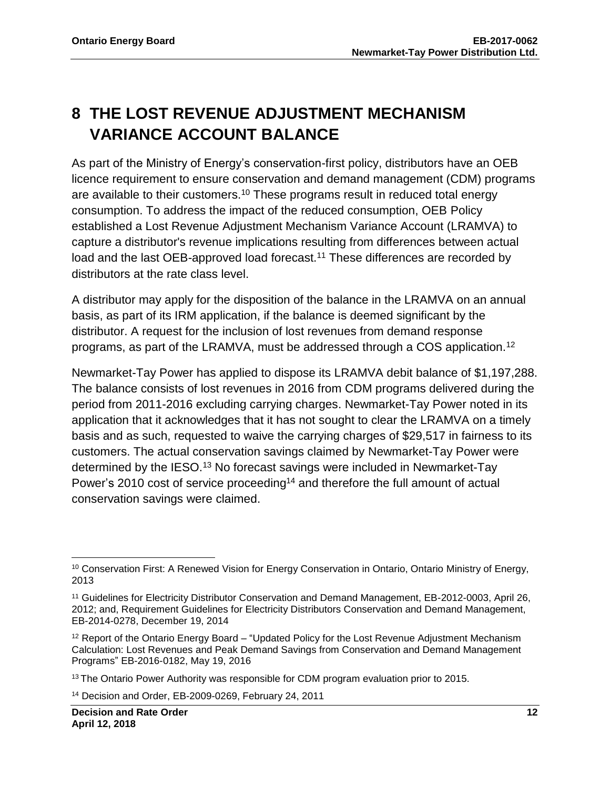## **8 THE LOST REVENUE ADJUSTMENT MECHANISM VARIANCE ACCOUNT BALANCE**

As part of the Ministry of Energy's conservation-first policy, distributors have an OEB licence requirement to ensure conservation and demand management (CDM) programs are available to their customers.<sup>10</sup> These programs result in reduced total energy consumption. To address the impact of the reduced consumption, OEB Policy established a Lost Revenue Adjustment Mechanism Variance Account (LRAMVA) to capture a distributor's revenue implications resulting from differences between actual load and the last OEB-approved load forecast.<sup>11</sup> These differences are recorded by distributors at the rate class level.

A distributor may apply for the disposition of the balance in the LRAMVA on an annual basis, as part of its IRM application, if the balance is deemed significant by the distributor. A request for the inclusion of lost revenues from demand response programs, as part of the LRAMVA, must be addressed through a COS application.<sup>12</sup>

Newmarket-Tay Power has applied to dispose its LRAMVA debit balance of \$1,197,288. The balance consists of lost revenues in 2016 from CDM programs delivered during the period from 2011-2016 excluding carrying charges. Newmarket-Tay Power noted in its application that it acknowledges that it has not sought to clear the LRAMVA on a timely basis and as such, requested to waive the carrying charges of \$29,517 in fairness to its customers. The actual conservation savings claimed by Newmarket-Tay Power were determined by the IESO.<sup>13</sup> No forecast savings were included in Newmarket-Tay Power's 2010 cost of service proceeding<sup>14</sup> and therefore the full amount of actual conservation savings were claimed.

 $\overline{\phantom{a}}$ <sup>10</sup> Conservation First: A Renewed Vision for Energy Conservation in Ontario, Ontario Ministry of Energy, 2013

<sup>11</sup> Guidelines for Electricity Distributor Conservation and Demand Management, EB-2012-0003, April 26, 2012; and, Requirement Guidelines for Electricity Distributors Conservation and Demand Management, EB-2014-0278, December 19, 2014

<sup>&</sup>lt;sup>12</sup> Report of the Ontario Energy Board – "Updated Policy for the Lost Revenue Adjustment Mechanism Calculation: Lost Revenues and Peak Demand Savings from Conservation and Demand Management Programs" EB-2016-0182, May 19, 2016

<sup>&</sup>lt;sup>13</sup> The Ontario Power Authority was responsible for CDM program evaluation prior to 2015.

<sup>14</sup> Decision and Order, EB-2009-0269, February 24, 2011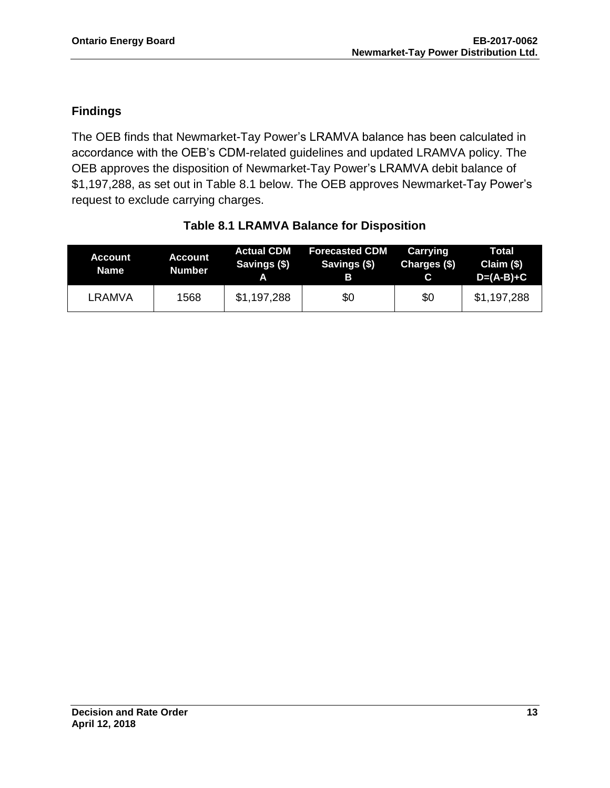#### **Findings**

The OEB finds that Newmarket-Tay Power's LRAMVA balance has been calculated in accordance with the OEB's CDM-related guidelines and updated LRAMVA policy. The OEB approves the disposition of Newmarket-Tay Power's LRAMVA debit balance of \$1,197,288, as set out in Table 8.1 below. The OEB approves Newmarket-Tay Power's request to exclude carrying charges.

| <b>Account</b><br>.Name \ | <b>Account</b><br><b>Number</b> | <b>Actual CDM</b><br>Savings (\$) | <b>Forecasted CDM</b><br>Savings (\$)<br>В | Carrying<br>Charges (\$) | Total<br>Claim (\$)<br>$D=(A-B)+C$ |
|---------------------------|---------------------------------|-----------------------------------|--------------------------------------------|--------------------------|------------------------------------|
| LRAMVA                    | 1568                            | \$1,197,288                       | \$0                                        | \$0                      | \$1,197,288                        |

### **Table 8.1 LRAMVA Balance for Disposition**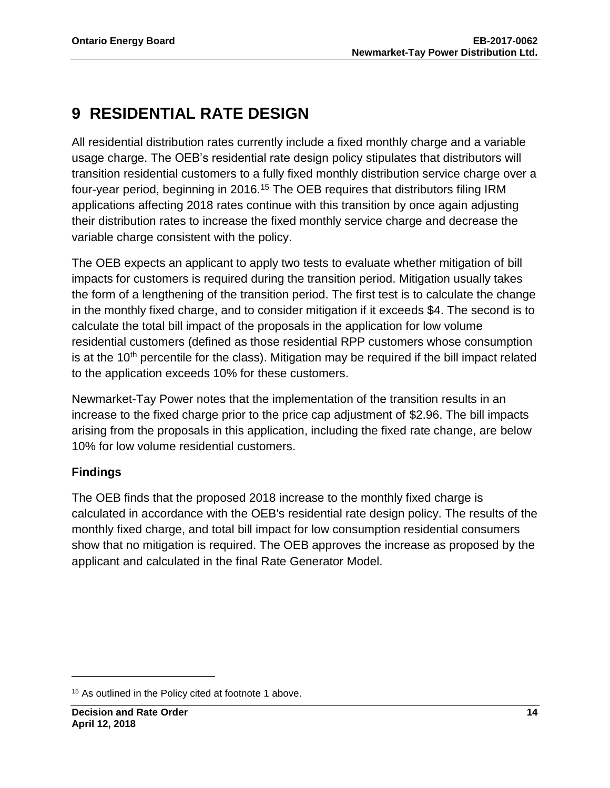## **9 RESIDENTIAL RATE DESIGN**

All residential distribution rates currently include a fixed monthly charge and a variable usage charge. The OEB's residential rate design policy stipulates that distributors will transition residential customers to a fully fixed monthly distribution service charge over a four-year period, beginning in 2016.<sup>15</sup> The OEB requires that distributors filing IRM applications affecting 2018 rates continue with this transition by once again adjusting their distribution rates to increase the fixed monthly service charge and decrease the variable charge consistent with the policy.

The OEB expects an applicant to apply two tests to evaluate whether mitigation of bill impacts for customers is required during the transition period. Mitigation usually takes the form of a lengthening of the transition period. The first test is to calculate the change in the monthly fixed charge, and to consider mitigation if it exceeds \$4. The second is to calculate the total bill impact of the proposals in the application for low volume residential customers (defined as those residential RPP customers whose consumption is at the  $10<sup>th</sup>$  percentile for the class). Mitigation may be required if the bill impact related to the application exceeds 10% for these customers.

Newmarket-Tay Power notes that the implementation of the transition results in an increase to the fixed charge prior to the price cap adjustment of \$2.96. The bill impacts arising from the proposals in this application, including the fixed rate change, are below 10% for low volume residential customers.

### **Findings**

 $\overline{a}$ 

The OEB finds that the proposed 2018 increase to the monthly fixed charge is calculated in accordance with the OEB's residential rate design policy. The results of the monthly fixed charge, and total bill impact for low consumption residential consumers show that no mitigation is required. The OEB approves the increase as proposed by the applicant and calculated in the final Rate Generator Model.

<sup>&</sup>lt;sup>15</sup> As outlined in the Policy cited at footnote 1 above.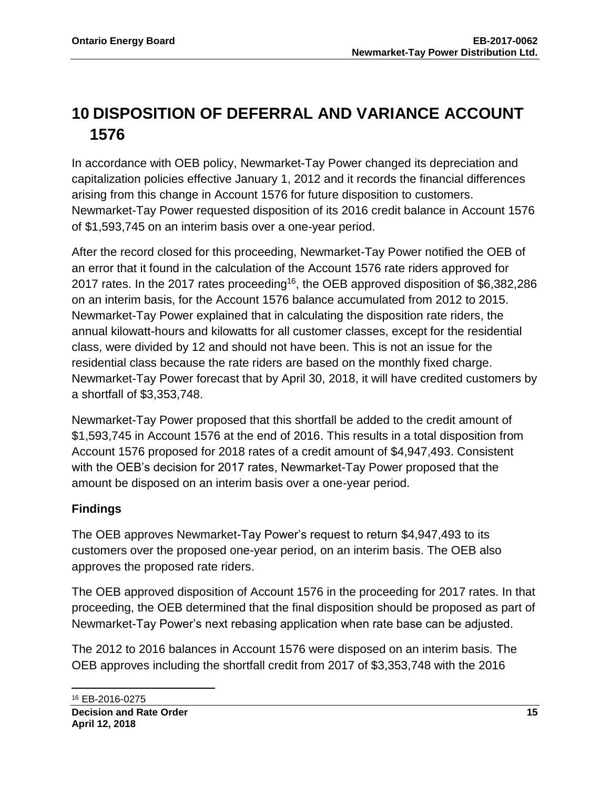## **10 DISPOSITION OF DEFERRAL AND VARIANCE ACCOUNT 1576**

In accordance with OEB policy, Newmarket-Tay Power changed its depreciation and capitalization policies effective January 1, 2012 and it records the financial differences arising from this change in Account 1576 for future disposition to customers. Newmarket-Tay Power requested disposition of its 2016 credit balance in Account 1576 of \$1,593,745 on an interim basis over a one-year period.

After the record closed for this proceeding, Newmarket-Tay Power notified the OEB of an error that it found in the calculation of the Account 1576 rate riders approved for 2017 rates. In the 2017 rates proceeding<sup>16</sup>, the OEB approved disposition of \$6,382,286 on an interim basis, for the Account 1576 balance accumulated from 2012 to 2015. Newmarket-Tay Power explained that in calculating the disposition rate riders, the annual kilowatt-hours and kilowatts for all customer classes, except for the residential class, were divided by 12 and should not have been. This is not an issue for the residential class because the rate riders are based on the monthly fixed charge. Newmarket-Tay Power forecast that by April 30, 2018, it will have credited customers by a shortfall of \$3,353,748.

Newmarket-Tay Power proposed that this shortfall be added to the credit amount of \$1,593,745 in Account 1576 at the end of 2016. This results in a total disposition from Account 1576 proposed for 2018 rates of a credit amount of \$4,947,493. Consistent with the OEB's decision for 2017 rates, Newmarket-Tay Power proposed that the amount be disposed on an interim basis over a one-year period.

#### **Findings**

The OEB approves Newmarket-Tay Power's request to return \$4,947,493 to its customers over the proposed one-year period, on an interim basis. The OEB also approves the proposed rate riders.

The OEB approved disposition of Account 1576 in the proceeding for 2017 rates. In that proceeding, the OEB determined that the final disposition should be proposed as part of Newmarket-Tay Power's next rebasing application when rate base can be adjusted.

The 2012 to 2016 balances in Account 1576 were disposed on an interim basis. The OEB approves including the shortfall credit from 2017 of \$3,353,748 with the 2016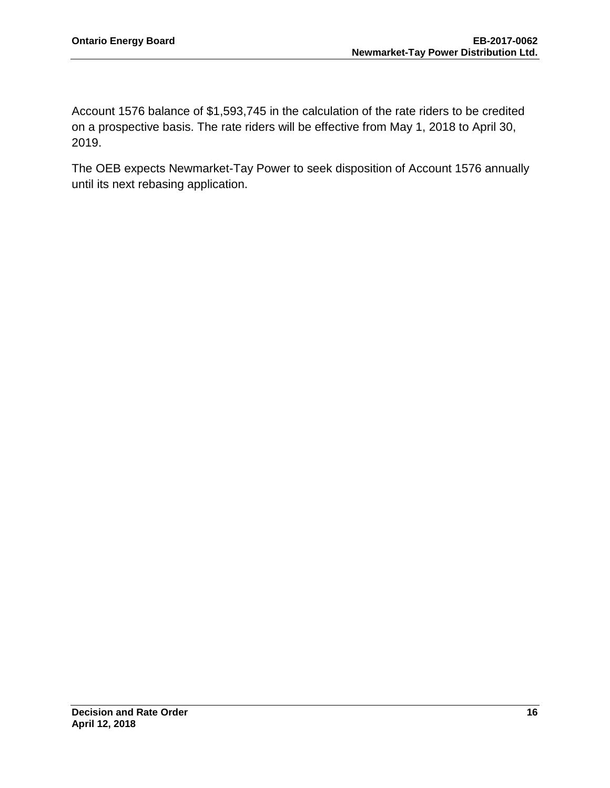Account 1576 balance of \$1,593,745 in the calculation of the rate riders to be credited on a prospective basis. The rate riders will be effective from May 1, 2018 to April 30, 2019.

The OEB expects Newmarket-Tay Power to seek disposition of Account 1576 annually until its next rebasing application.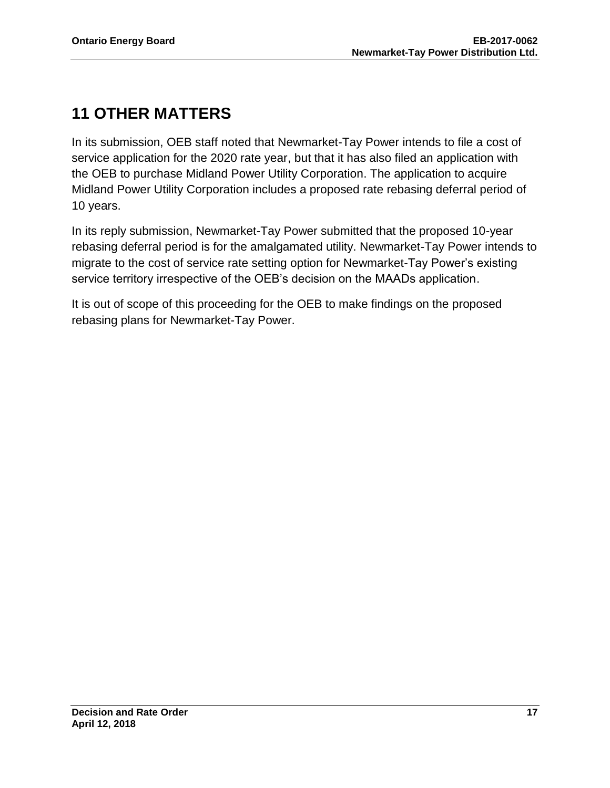## **11 OTHER MATTERS**

In its submission, OEB staff noted that Newmarket-Tay Power intends to file a cost of service application for the 2020 rate year, but that it has also filed an application with the OEB to purchase Midland Power Utility Corporation. The application to acquire Midland Power Utility Corporation includes a proposed rate rebasing deferral period of 10 years.

In its reply submission, Newmarket-Tay Power submitted that the proposed 10-year rebasing deferral period is for the amalgamated utility. Newmarket-Tay Power intends to migrate to the cost of service rate setting option for Newmarket-Tay Power's existing service territory irrespective of the OEB's decision on the MAADs application.

It is out of scope of this proceeding for the OEB to make findings on the proposed rebasing plans for Newmarket-Tay Power.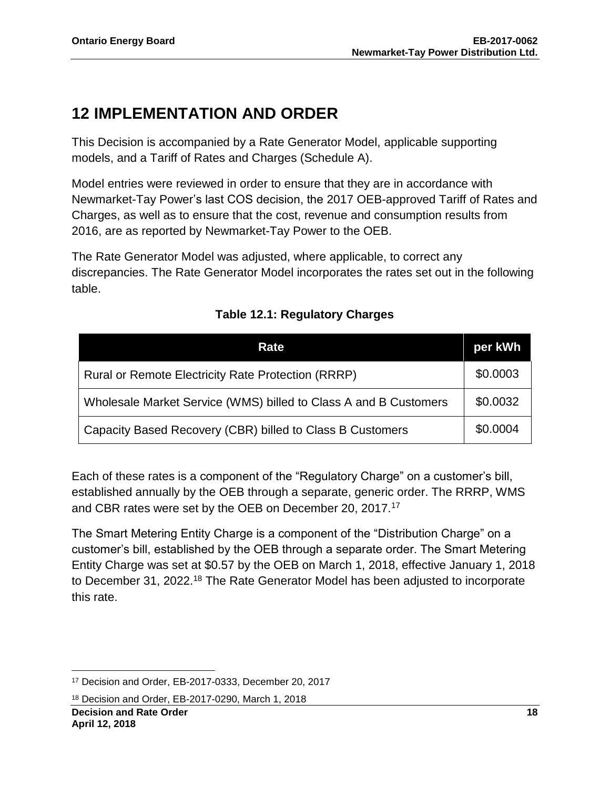## **12 IMPLEMENTATION AND ORDER**

This Decision is accompanied by a Rate Generator Model, applicable supporting models, and a Tariff of Rates and Charges (Schedule A).

Model entries were reviewed in order to ensure that they are in accordance with Newmarket-Tay Power's last COS decision, the 2017 OEB-approved Tariff of Rates and Charges, as well as to ensure that the cost, revenue and consumption results from 2016, are as reported by Newmarket-Tay Power to the OEB.

The Rate Generator Model was adjusted, where applicable, to correct any discrepancies. The Rate Generator Model incorporates the rates set out in the following table.

| Rate                                                             | per kWh  |
|------------------------------------------------------------------|----------|
| <b>Rural or Remote Electricity Rate Protection (RRRP)</b>        | \$0.0003 |
| Wholesale Market Service (WMS) billed to Class A and B Customers | \$0.0032 |
| Capacity Based Recovery (CBR) billed to Class B Customers        | \$0.0004 |

### **Table 12.1: Regulatory Charges**

Each of these rates is a component of the "Regulatory Charge" on a customer's bill, established annually by the OEB through a separate, generic order. The RRRP, WMS and CBR rates were set by the OEB on December 20, 2017.<sup>17</sup>

The Smart Metering Entity Charge is a component of the "Distribution Charge" on a customer's bill, established by the OEB through a separate order. The Smart Metering Entity Charge was set at \$0.57 by the OEB on March 1, 2018, effective January 1, 2018 to December 31, 2022.<sup>18</sup> The Rate Generator Model has been adjusted to incorporate this rate.

 $\overline{\phantom{a}}$ <sup>17</sup> Decision and Order, EB-2017-0333, December 20, 2017

<sup>18</sup> Decision and Order, EB-2017-0290, March 1, 2018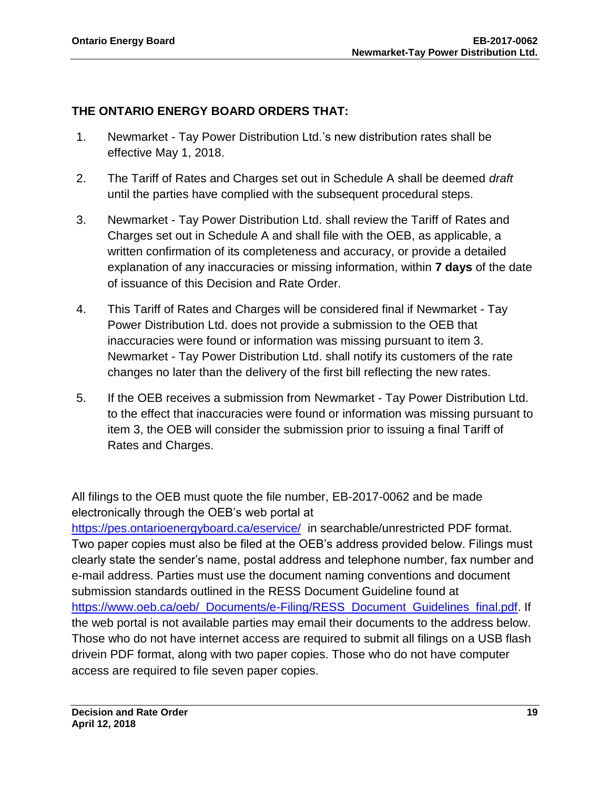#### **THE ONTARIO ENERGY BOARD ORDERS THAT:**

- 1. Newmarket Tay Power Distribution Ltd.'s new distribution rates shall be effective May 1, 2018.
- 2. The Tariff of Rates and Charges set out in Schedule A shall be deemed *draft* until the parties have complied with the subsequent procedural steps.
- 3. Newmarket Tay Power Distribution Ltd. shall review the Tariff of Rates and Charges set out in Schedule A and shall file with the OEB, as applicable, a written confirmation of its completeness and accuracy, or provide a detailed explanation of any inaccuracies or missing information, within **7 days** of the date of issuance of this Decision and Rate Order.
- 4. This Tariff of Rates and Charges will be considered final if Newmarket Tay Power Distribution Ltd. does not provide a submission to the OEB that inaccuracies were found or information was missing pursuant to item 3. Newmarket - Tay Power Distribution Ltd. shall notify its customers of the rate changes no later than the delivery of the first bill reflecting the new rates.
- 5. If the OEB receives a submission from Newmarket Tay Power Distribution Ltd. to the effect that inaccuracies were found or information was missing pursuant to item 3, the OEB will consider the submission prior to issuing a final Tariff of Rates and Charges.

All filings to the OEB must quote the file number, EB-2017-0062 and be made electronically through the OEB's web portal at <https://pes.ontarioenergyboard.ca/eservice/> in searchable/unrestricted PDF format. Two paper copies must also be filed at the OEB's address provided below. Filings must clearly state the sender's name, postal address and telephone number, fax number and e-mail address. Parties must use the document naming conventions and document submission standards outlined in the RESS Document Guideline found at [https://www.oeb.ca/oeb/\\_Documents/e-Filing/RESS\\_Document\\_Guidelines\\_final.pdf.](https://www.oeb.ca/oeb/_Documents/e-Filing/RESS_Document_Guidelines_final.pdf) If the web portal is not available parties may email their documents to the address below. Those who do not have internet access are required to submit all filings on a USB flash drivein PDF format, along with two paper copies. Those who do not have computer access are required to file seven paper copies.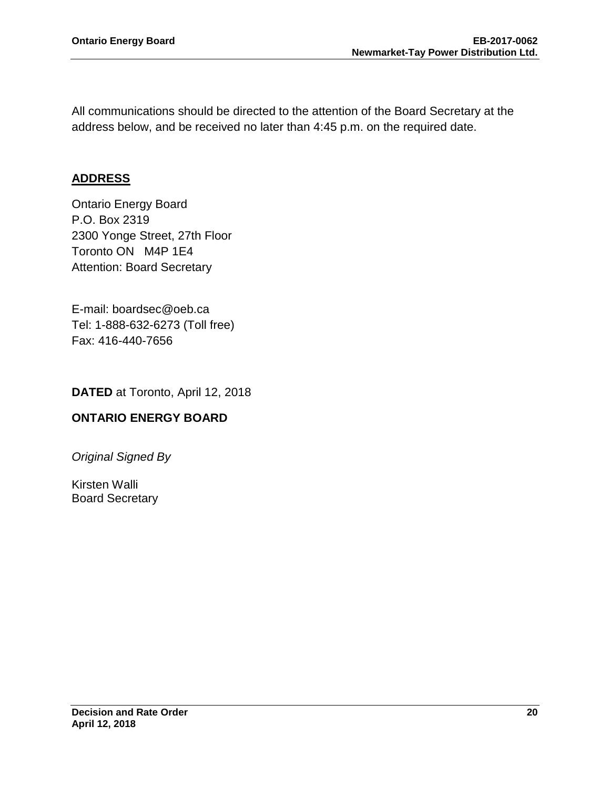All communications should be directed to the attention of the Board Secretary at the address below, and be received no later than 4:45 p.m. on the required date.

#### **ADDRESS**

Ontario Energy Board P.O. Box 2319 2300 Yonge Street, 27th Floor Toronto ON M4P 1E4 Attention: Board Secretary

E-mail: boardsec@oeb.ca Tel: 1-888-632-6273 (Toll free) Fax: 416-440-7656

**DATED** at Toronto, April 12, 2018

#### **ONTARIO ENERGY BOARD**

*Original Signed By*

Kirsten Walli Board Secretary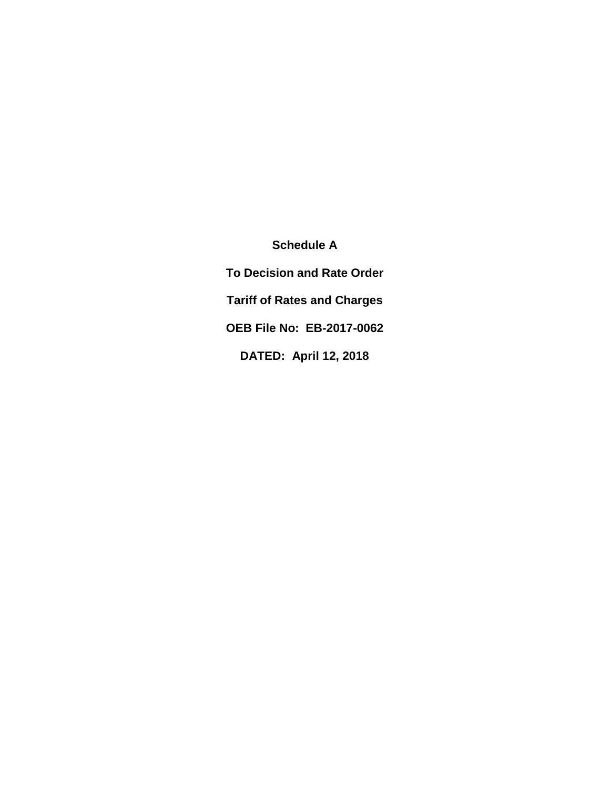**Schedule A To Decision and Rate Order Tariff of Rates and Charges OEB File No: EB-2017-0062 DATED: April 12, 2018**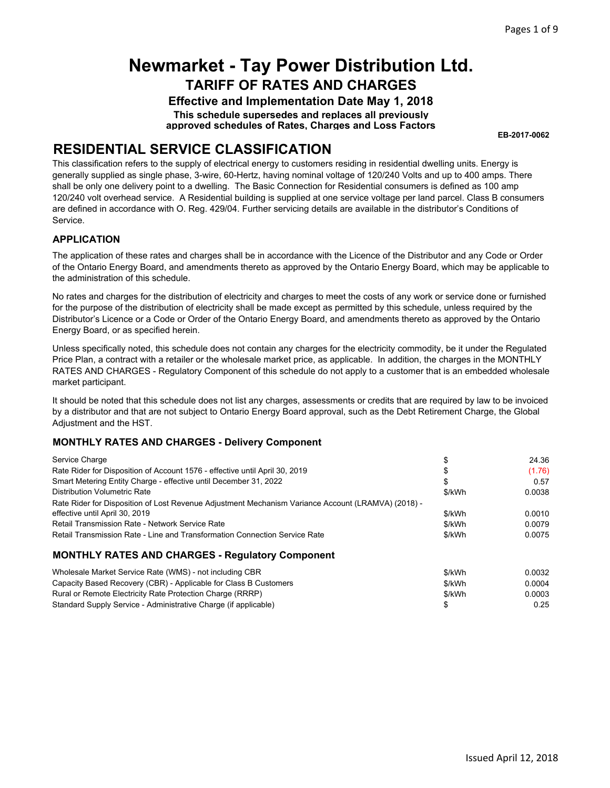**Effective and Implementation Date May 1, 2018 This schedule supersedes and replaces all previously approved schedules of Rates, Charges and Loss Factors**

**EB-2017-0062**

### **RESIDENTIAL SERVICE CLASSIFICATION**

This classification refers to the supply of electrical energy to customers residing in residential dwelling units. Energy is generally supplied as single phase, 3-wire, 60-Hertz, having nominal voltage of 120/240 Volts and up to 400 amps. There shall be only one delivery point to a dwelling. The Basic Connection for Residential consumers is defined as 100 amp 120/240 volt overhead service. A Residential building is supplied at one service voltage per land parcel. Class B consumers are defined in accordance with O. Reg. 429/04. Further servicing details are available in the distributor's Conditions of Service.

#### **APPLICATION**

The application of these rates and charges shall be in accordance with the Licence of the Distributor and any Code or Order of the Ontario Energy Board, and amendments thereto as approved by the Ontario Energy Board, which may be applicable to the administration of this schedule.

No rates and charges for the distribution of electricity and charges to meet the costs of any work or service done or furnished for the purpose of the distribution of electricity shall be made except as permitted by this schedule, unless required by the Distributor's Licence or a Code or Order of the Ontario Energy Board, and amendments thereto as approved by the Ontario Energy Board, or as specified herein.

Unless specifically noted, this schedule does not contain any charges for the electricity commodity, be it under the Regulated Price Plan, a contract with a retailer or the wholesale market price, as applicable. In addition, the charges in the MONTHLY RATES AND CHARGES - Regulatory Component of this schedule do not apply to a customer that is an embedded wholesale market participant.

It should be noted that this schedule does not list any charges, assessments or credits that are required by law to be invoiced by a distributor and that are not subject to Ontario Energy Board approval, such as the Debt Retirement Charge, the Global Adjustment and the HST.

| Service Charge                                                                                     |        | 24.36  |
|----------------------------------------------------------------------------------------------------|--------|--------|
| Rate Rider for Disposition of Account 1576 - effective until April 30, 2019                        |        | (1.76) |
| Smart Metering Entity Charge - effective until December 31, 2022                                   |        | 0.57   |
| <b>Distribution Volumetric Rate</b>                                                                | \$/kWh | 0.0038 |
| Rate Rider for Disposition of Lost Revenue Adjustment Mechanism Variance Account (LRAMVA) (2018) - |        |        |
| effective until April 30, 2019                                                                     | \$/kWh | 0.0010 |
| Retail Transmission Rate - Network Service Rate                                                    | \$/kWh | 0.0079 |
| Retail Transmission Rate - Line and Transformation Connection Service Rate                         | \$/kWh | 0.0075 |
| <b>MONTHLY RATES AND CHARGES - Regulatory Component</b>                                            |        |        |

| Wholesale Market Service Rate (WMS) - not including CBR          | \$/kWh | 0.0032 |
|------------------------------------------------------------------|--------|--------|
| Capacity Based Recovery (CBR) - Applicable for Class B Customers | \$/kWh | 0.0004 |
| Rural or Remote Electricity Rate Protection Charge (RRRP)        | \$/kWh | 0.0003 |
| Standard Supply Service - Administrative Charge (if applicable)  |        | 0.25   |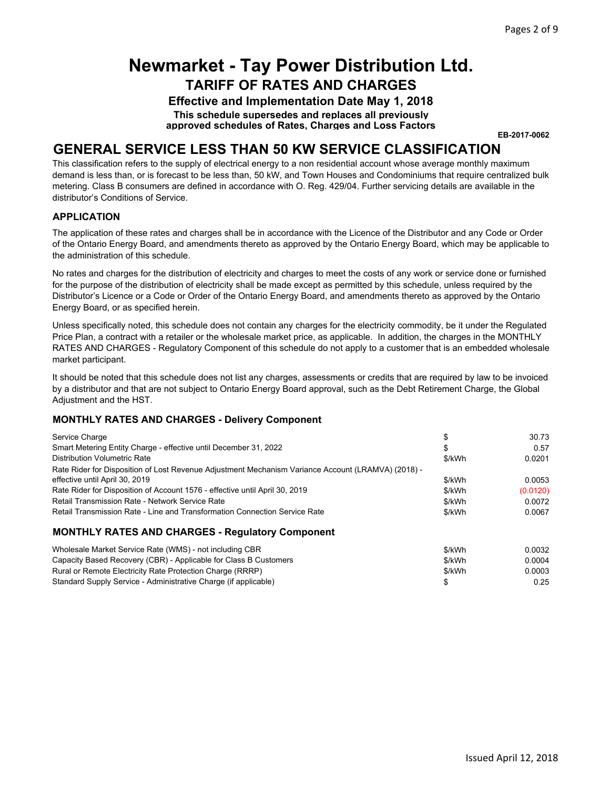**Effective and Implementation Date May 1, 2018**

**This schedule supersedes and replaces all previously approved schedules of Rates, Charges and Loss Factors**

**EB-2017-0062**

### **GENERAL SERVICE LESS THAN 50 KW SERVICE CLASSIFICATION**

This classification refers to the supply of electrical energy to a non residential account whose average monthly maximum demand is less than, or is forecast to be less than, 50 kW, and Town Houses and Condominiums that require centralized bulk metering. Class B consumers are defined in accordance with O. Reg. 429/04. Further servicing details are available in the distributor's Conditions of Service.

#### **APPLICATION**

The application of these rates and charges shall be in accordance with the Licence of the Distributor and any Code or Order of the Ontario Energy Board, and amendments thereto as approved by the Ontario Energy Board, which may be applicable to the administration of this schedule.

No rates and charges for the distribution of electricity and charges to meet the costs of any work or service done or furnished for the purpose of the distribution of electricity shall be made except as permitted by this schedule, unless required by the Distributor's Licence or a Code or Order of the Ontario Energy Board, and amendments thereto as approved by the Ontario Energy Board, or as specified herein.

Unless specifically noted, this schedule does not contain any charges for the electricity commodity, be it under the Regulated Price Plan, a contract with a retailer or the wholesale market price, as applicable. In addition, the charges in the MONTHLY RATES AND CHARGES - Regulatory Component of this schedule do not apply to a customer that is an embedded wholesale market participant.

It should be noted that this schedule does not list any charges, assessments or credits that are required by law to be invoiced by a distributor and that are not subject to Ontario Energy Board approval, such as the Debt Retirement Charge, the Global Adjustment and the HST.

#### **MONTHLY RATES AND CHARGES - Delivery Component**

| Service Charge                                                                                     |        | 30.73    |
|----------------------------------------------------------------------------------------------------|--------|----------|
| Smart Metering Entity Charge - effective until December 31, 2022                                   | S      | 0.57     |
| Distribution Volumetric Rate                                                                       | \$/kWh | 0.0201   |
| Rate Rider for Disposition of Lost Revenue Adjustment Mechanism Variance Account (LRAMVA) (2018) - |        |          |
| effective until April 30, 2019                                                                     | \$/kWh | 0.0053   |
| Rate Rider for Disposition of Account 1576 - effective until April 30, 2019                        | \$/kWh | (0.0120) |
| Retail Transmission Rate - Network Service Rate                                                    | \$/kWh | 0.0072   |
| Retail Transmission Rate - Line and Transformation Connection Service Rate                         | \$/kWh | 0.0067   |
| <b>MONTHLY RATES AND CHARGES - Regulatory Component</b>                                            |        |          |
| Wholesale Market Service Rate (WMS) - not including CBR                                            | \$/kWh | 0.0032   |
| Capacity Based Recovery (CBR) - Applicable for Class B Customers                                   | \$/kWh | 0.0004   |

Rural or Remote Electricity Rate Protection Charge (RRRP) Standard Supply Service - Administrative Charge (if applicable) \$/kWh 0.0003 \$ 0.25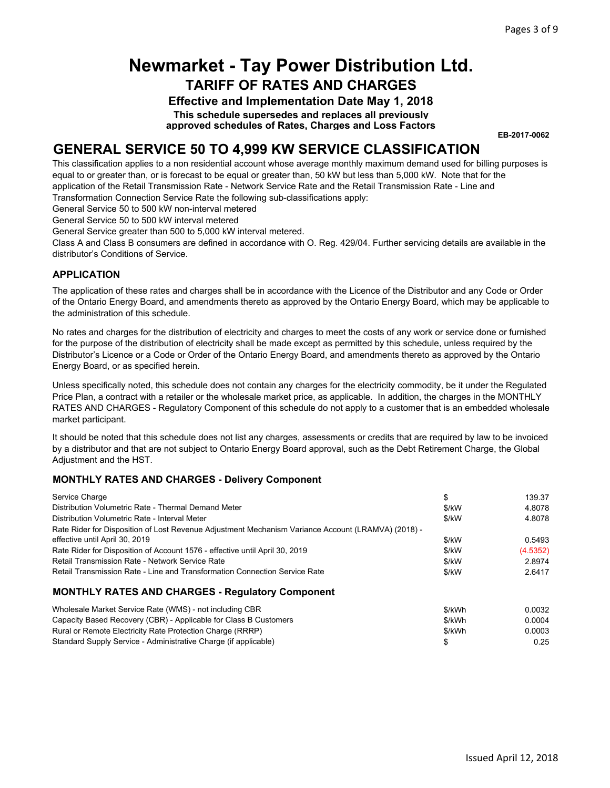**Effective and Implementation Date May 1, 2018**

**This schedule supersedes and replaces all previously approved schedules of Rates, Charges and Loss Factors**

**EB-2017-0062**

### **GENERAL SERVICE 50 TO 4,999 KW SERVICE CLASSIFICATION**

This classification applies to a non residential account whose average monthly maximum demand used for billing purposes is equal to or greater than, or is forecast to be equal or greater than, 50 kW but less than 5,000 kW. Note that for the application of the Retail Transmission Rate - Network Service Rate and the Retail Transmission Rate - Line and Transformation Connection Service Rate the following sub-classifications apply:

General Service 50 to 500 kW non-interval metered

General Service 50 to 500 kW interval metered

General Service greater than 500 to 5,000 kW interval metered.

Class A and Class B consumers are defined in accordance with O. Reg. 429/04. Further servicing details are available in the distributor's Conditions of Service.

#### **APPLICATION**

The application of these rates and charges shall be in accordance with the Licence of the Distributor and any Code or Order of the Ontario Energy Board, and amendments thereto as approved by the Ontario Energy Board, which may be applicable to the administration of this schedule.

No rates and charges for the distribution of electricity and charges to meet the costs of any work or service done or furnished for the purpose of the distribution of electricity shall be made except as permitted by this schedule, unless required by the Distributor's Licence or a Code or Order of the Ontario Energy Board, and amendments thereto as approved by the Ontario Energy Board, or as specified herein.

Unless specifically noted, this schedule does not contain any charges for the electricity commodity, be it under the Regulated Price Plan, a contract with a retailer or the wholesale market price, as applicable. In addition, the charges in the MONTHLY RATES AND CHARGES - Regulatory Component of this schedule do not apply to a customer that is an embedded wholesale market participant.

It should be noted that this schedule does not list any charges, assessments or credits that are required by law to be invoiced by a distributor and that are not subject to Ontario Energy Board approval, such as the Debt Retirement Charge, the Global Adjustment and the HST.

#### **MONTHLY RATES AND CHARGES - Delivery Component**

Standard Supply Service - Administrative Charge (if applicable)

| Service Charge                                                                                     | \$     | 139.37   |
|----------------------------------------------------------------------------------------------------|--------|----------|
| Distribution Volumetric Rate - Thermal Demand Meter                                                | \$/kW  | 4.8078   |
| Distribution Volumetric Rate - Interval Meter                                                      | \$/kW  | 4.8078   |
| Rate Rider for Disposition of Lost Revenue Adjustment Mechanism Variance Account (LRAMVA) (2018) - |        |          |
| effective until April 30, 2019                                                                     | \$/kW  | 0.5493   |
| Rate Rider for Disposition of Account 1576 - effective until April 30, 2019                        | \$/kW  | (4.5352) |
| Retail Transmission Rate - Network Service Rate                                                    | \$/kW  | 2.8974   |
| Retail Transmission Rate - Line and Transformation Connection Service Rate                         | \$/kW  | 2.6417   |
| <b>MONTHLY RATES AND CHARGES - Regulatory Component</b>                                            |        |          |
| Wholesale Market Service Rate (WMS) - not including CBR                                            | \$/kWh | 0.0032   |
| Capacity Based Recovery (CBR) - Applicable for Class B Customers                                   | \$/kWh | 0.0004   |
| Rural or Remote Electricity Rate Protection Charge (RRRP)                                          | \$/kWh | 0.0003   |

\$ 0.25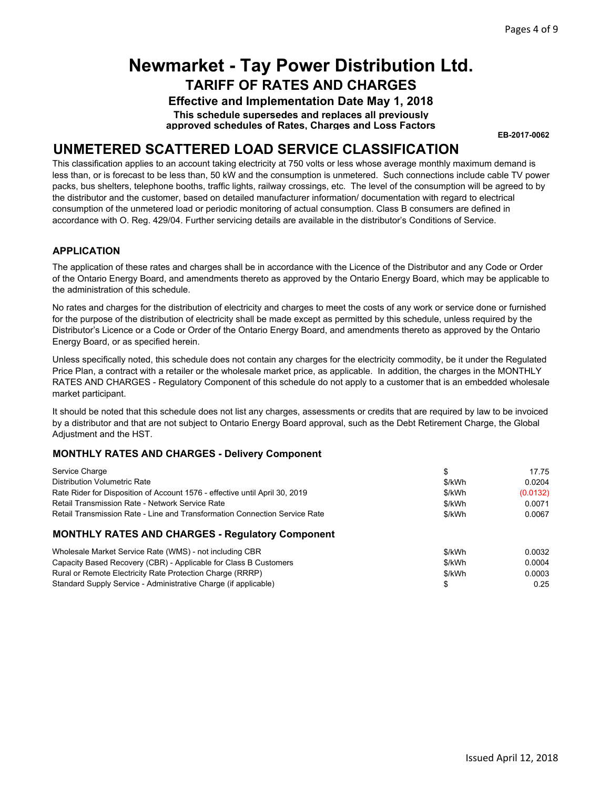**Effective and Implementation Date May 1, 2018**

**This schedule supersedes and replaces all previously approved schedules of Rates, Charges and Loss Factors**

**EB-2017-0062**

### **UNMETERED SCATTERED LOAD SERVICE CLASSIFICATION**

This classification applies to an account taking electricity at 750 volts or less whose average monthly maximum demand is less than, or is forecast to be less than, 50 kW and the consumption is unmetered. Such connections include cable TV power packs, bus shelters, telephone booths, traffic lights, railway crossings, etc. The level of the consumption will be agreed to by the distributor and the customer, based on detailed manufacturer information/ documentation with regard to electrical consumption of the unmetered load or periodic monitoring of actual consumption. Class B consumers are defined in accordance with O. Reg. 429/04. Further servicing details are available in the distributor's Conditions of Service.

#### **APPLICATION**

The application of these rates and charges shall be in accordance with the Licence of the Distributor and any Code or Order of the Ontario Energy Board, and amendments thereto as approved by the Ontario Energy Board, which may be applicable to the administration of this schedule.

No rates and charges for the distribution of electricity and charges to meet the costs of any work or service done or furnished for the purpose of the distribution of electricity shall be made except as permitted by this schedule, unless required by the Distributor's Licence or a Code or Order of the Ontario Energy Board, and amendments thereto as approved by the Ontario Energy Board, or as specified herein.

Unless specifically noted, this schedule does not contain any charges for the electricity commodity, be it under the Regulated Price Plan, a contract with a retailer or the wholesale market price, as applicable. In addition, the charges in the MONTHLY RATES AND CHARGES - Regulatory Component of this schedule do not apply to a customer that is an embedded wholesale market participant.

It should be noted that this schedule does not list any charges, assessments or credits that are required by law to be invoiced by a distributor and that are not subject to Ontario Energy Board approval, such as the Debt Retirement Charge, the Global Adjustment and the HST.

| Service Charge                                                              |        | 17.75    |
|-----------------------------------------------------------------------------|--------|----------|
| <b>Distribution Volumetric Rate</b>                                         | \$/kWh | 0.0204   |
| Rate Rider for Disposition of Account 1576 - effective until April 30, 2019 | \$/kWh | (0.0132) |
| Retail Transmission Rate - Network Service Rate                             | \$/kWh | 0.0071   |
| Retail Transmission Rate - Line and Transformation Connection Service Rate  | \$/kWh | 0.0067   |
| <b>MONTHLY RATES AND CHARGES - Regulatory Component</b>                     |        |          |
| Wholesale Market Service Rate (WMS) - not including CBR                     | \$/kWh | 0.0032   |
| Capacity Based Recovery (CBR) - Applicable for Class B Customers            | \$/kWh | 0.0004   |
| Rural or Remote Electricity Rate Protection Charge (RRRP)                   | \$/kWh | 0.0003   |
| Standard Supply Service - Administrative Charge (if applicable)             | \$     | 0.25     |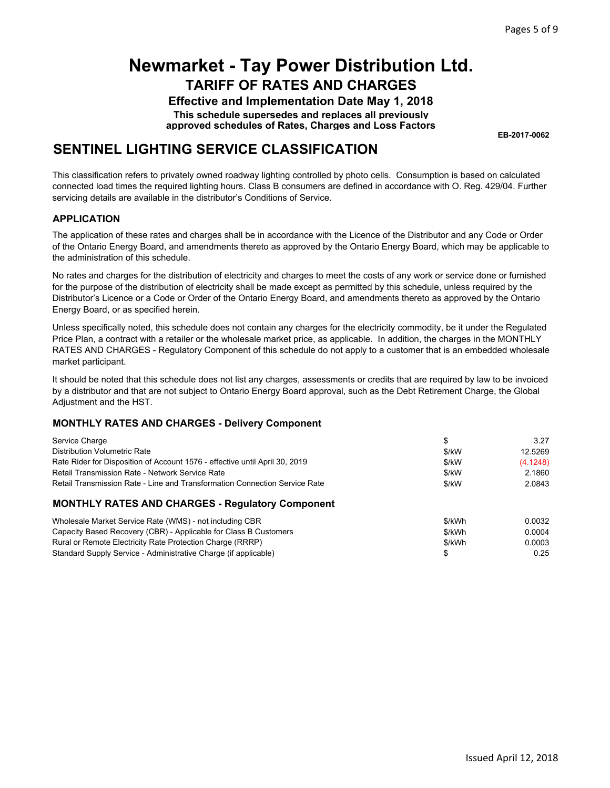**Effective and Implementation Date May 1, 2018**

**This schedule supersedes and replaces all previously approved schedules of Rates, Charges and Loss Factors**

**EB-2017-0062**

### **SENTINEL LIGHTING SERVICE CLASSIFICATION**

This classification refers to privately owned roadway lighting controlled by photo cells. Consumption is based on calculated connected load times the required lighting hours. Class B consumers are defined in accordance with O. Reg. 429/04. Further servicing details are available in the distributor's Conditions of Service.

#### **APPLICATION**

The application of these rates and charges shall be in accordance with the Licence of the Distributor and any Code or Order of the Ontario Energy Board, and amendments thereto as approved by the Ontario Energy Board, which may be applicable to the administration of this schedule.

No rates and charges for the distribution of electricity and charges to meet the costs of any work or service done or furnished for the purpose of the distribution of electricity shall be made except as permitted by this schedule, unless required by the Distributor's Licence or a Code or Order of the Ontario Energy Board, and amendments thereto as approved by the Ontario Energy Board, or as specified herein.

Unless specifically noted, this schedule does not contain any charges for the electricity commodity, be it under the Regulated Price Plan, a contract with a retailer or the wholesale market price, as applicable. In addition, the charges in the MONTHLY RATES AND CHARGES - Regulatory Component of this schedule do not apply to a customer that is an embedded wholesale market participant.

It should be noted that this schedule does not list any charges, assessments or credits that are required by law to be invoiced by a distributor and that are not subject to Ontario Energy Board approval, such as the Debt Retirement Charge, the Global Adjustment and the HST.

| Service Charge                                                              |        | 3.27     |
|-----------------------------------------------------------------------------|--------|----------|
| <b>Distribution Volumetric Rate</b>                                         | \$/kW  | 12.5269  |
| Rate Rider for Disposition of Account 1576 - effective until April 30, 2019 | \$/kW  | (4.1248) |
| Retail Transmission Rate - Network Service Rate                             | \$/kW  | 2.1860   |
| Retail Transmission Rate - Line and Transformation Connection Service Rate  | \$/kW  | 2.0843   |
| <b>MONTHLY RATES AND CHARGES - Regulatory Component</b>                     |        |          |
| Wholesale Market Service Rate (WMS) - not including CBR                     | \$/kWh | 0.0032   |
| Capacity Based Recovery (CBR) - Applicable for Class B Customers            | \$/kWh | 0.0004   |
| Rural or Remote Electricity Rate Protection Charge (RRRP)                   | \$/kWh | 0.0003   |
| Standard Supply Service - Administrative Charge (if applicable)             |        | 0.25     |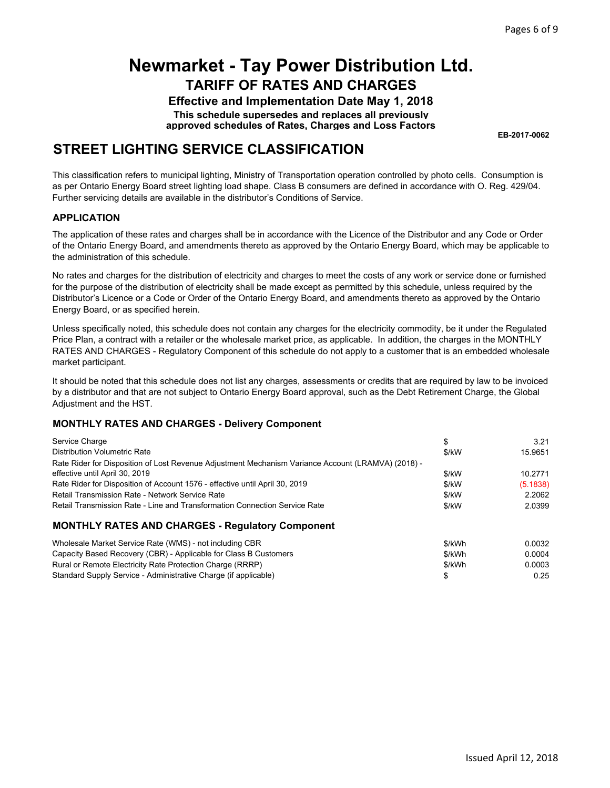**Effective and Implementation Date May 1, 2018**

**This schedule supersedes and replaces all previously approved schedules of Rates, Charges and Loss Factors**

**EB-2017-0062**

### **STREET LIGHTING SERVICE CLASSIFICATION**

This classification refers to municipal lighting, Ministry of Transportation operation controlled by photo cells. Consumption is as per Ontario Energy Board street lighting load shape. Class B consumers are defined in accordance with O. Reg. 429/04. Further servicing details are available in the distributor's Conditions of Service.

#### **APPLICATION**

The application of these rates and charges shall be in accordance with the Licence of the Distributor and any Code or Order of the Ontario Energy Board, and amendments thereto as approved by the Ontario Energy Board, which may be applicable to the administration of this schedule.

No rates and charges for the distribution of electricity and charges to meet the costs of any work or service done or furnished for the purpose of the distribution of electricity shall be made except as permitted by this schedule, unless required by the Distributor's Licence or a Code or Order of the Ontario Energy Board, and amendments thereto as approved by the Ontario Energy Board, or as specified herein.

Unless specifically noted, this schedule does not contain any charges for the electricity commodity, be it under the Regulated Price Plan, a contract with a retailer or the wholesale market price, as applicable. In addition, the charges in the MONTHLY RATES AND CHARGES - Regulatory Component of this schedule do not apply to a customer that is an embedded wholesale market participant.

It should be noted that this schedule does not list any charges, assessments or credits that are required by law to be invoiced by a distributor and that are not subject to Ontario Energy Board approval, such as the Debt Retirement Charge, the Global Adjustment and the HST.

| Service Charge                                                                                     | \$      | 3.21     |
|----------------------------------------------------------------------------------------------------|---------|----------|
| <b>Distribution Volumetric Rate</b>                                                                | $$$ /kW | 15.9651  |
| Rate Rider for Disposition of Lost Revenue Adjustment Mechanism Variance Account (LRAMVA) (2018) - |         |          |
| effective until April 30, 2019                                                                     | \$/kW   | 10.2771  |
| Rate Rider for Disposition of Account 1576 - effective until April 30, 2019                        | \$/kW   | (5.1838) |
| Retail Transmission Rate - Network Service Rate                                                    | $$$ /kW | 2.2062   |
| Retail Transmission Rate - Line and Transformation Connection Service Rate                         | $$$ /kW | 2.0399   |
| <b>MONTHLY RATES AND CHARGES - Regulatory Component</b>                                            |         |          |
| Wholesale Market Service Rate (WMS) - not including CBR                                            | \$/kWh  | 0.0032   |
| Capacity Based Recovery (CBR) - Applicable for Class B Customers                                   | \$/kWh  | 0.0004   |

| \$/kWh | 0.0004 |
|--------|--------|
| \$/kWh | 0.0003 |
|        | 0.25   |
|        |        |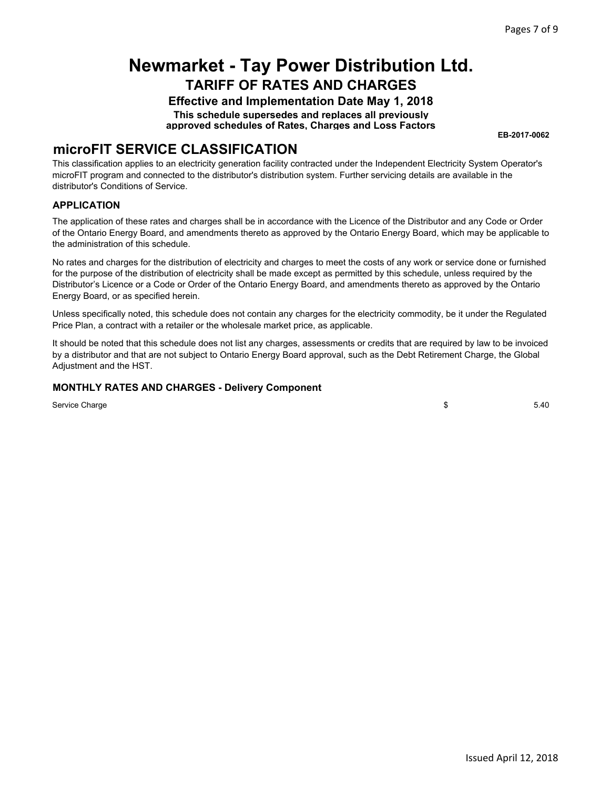**Effective and Implementation Date May 1, 2018 This schedule supersedes and replaces all previously**

**approved schedules of Rates, Charges and Loss Factors**

**EB-2017-0062**

### **microFIT SERVICE CLASSIFICATION**

This classification applies to an electricity generation facility contracted under the Independent Electricity System Operator's microFIT program and connected to the distributor's distribution system. Further servicing details are available in the distributor's Conditions of Service.

#### **APPLICATION**

The application of these rates and charges shall be in accordance with the Licence of the Distributor and any Code or Order of the Ontario Energy Board, and amendments thereto as approved by the Ontario Energy Board, which may be applicable to the administration of this schedule.

No rates and charges for the distribution of electricity and charges to meet the costs of any work or service done or furnished for the purpose of the distribution of electricity shall be made except as permitted by this schedule, unless required by the Distributor's Licence or a Code or Order of the Ontario Energy Board, and amendments thereto as approved by the Ontario Energy Board, or as specified herein.

Unless specifically noted, this schedule does not contain any charges for the electricity commodity, be it under the Regulated Price Plan, a contract with a retailer or the wholesale market price, as applicable.

It should be noted that this schedule does not list any charges, assessments or credits that are required by law to be invoiced by a distributor and that are not subject to Ontario Energy Board approval, such as the Debt Retirement Charge, the Global Adjustment and the HST.

#### **MONTHLY RATES AND CHARGES - Delivery Component**

Service Charge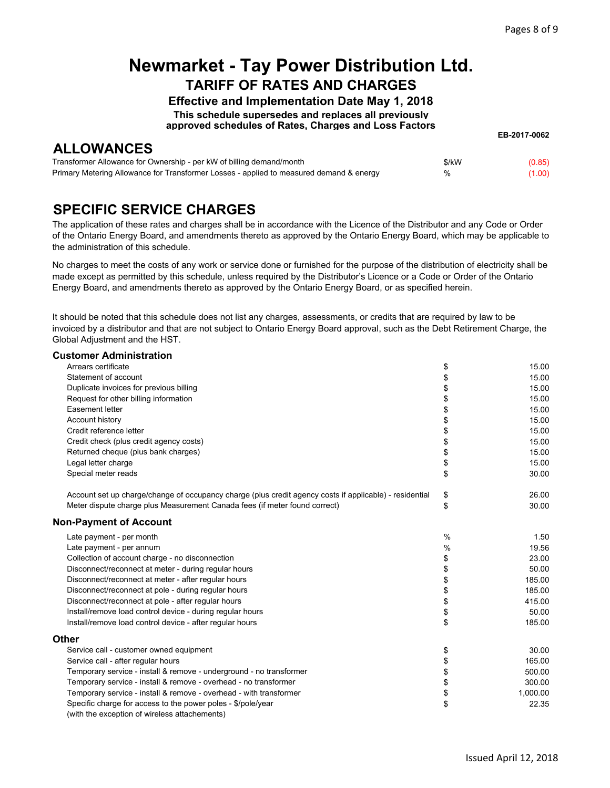**EB-2017-0062**

### **Newmarket - Tay Power Distribution Ltd. TARIFF OF RATES AND CHARGES**

**Effective and Implementation Date May 1, 2018**

**This schedule supersedes and replaces all previously**

**approved schedules of Rates, Charges and Loss Factors**

**ALLOWANCES**

| ----------------------                                                                  |       |        |
|-----------------------------------------------------------------------------------------|-------|--------|
| Transformer Allowance for Ownership - per kW of billing demand/month                    | \$/kW | (0.85) |
| Primary Metering Allowance for Transformer Losses - applied to measured demand & energy | %     | (1.00) |

### **SPECIFIC SERVICE CHARGES**

The application of these rates and charges shall be in accordance with the Licence of the Distributor and any Code or Order of the Ontario Energy Board, and amendments thereto as approved by the Ontario Energy Board, which may be applicable to the administration of this schedule.

No charges to meet the costs of any work or service done or furnished for the purpose of the distribution of electricity shall be made except as permitted by this schedule, unless required by the Distributor's Licence or a Code or Order of the Ontario Energy Board, and amendments thereto as approved by the Ontario Energy Board, or as specified herein.

It should be noted that this schedule does not list any charges, assessments, or credits that are required by law to be invoiced by a distributor and that are not subject to Ontario Energy Board approval, such as the Debt Retirement Charge, the Global Adjustment and the HST.

#### **Customer Administration**

| Arrears certificate                                                                                           | \$            | 15.00    |
|---------------------------------------------------------------------------------------------------------------|---------------|----------|
| Statement of account                                                                                          | \$            | 15.00    |
| Duplicate invoices for previous billing                                                                       | \$            | 15.00    |
| Request for other billing information                                                                         | \$            | 15.00    |
| Easement letter                                                                                               | \$            | 15.00    |
| Account history                                                                                               | \$            | 15.00    |
| Credit reference letter                                                                                       | \$            | 15.00    |
| Credit check (plus credit agency costs)                                                                       | \$            | 15.00    |
| Returned cheque (plus bank charges)                                                                           | \$            | 15.00    |
| Legal letter charge                                                                                           | \$            | 15.00    |
| Special meter reads                                                                                           | \$            | 30.00    |
| Account set up charge/change of occupancy charge (plus credit agency costs if applicable) - residential       | \$            | 26.00    |
| Meter dispute charge plus Measurement Canada fees (if meter found correct)                                    | \$            | 30.00    |
| <b>Non-Payment of Account</b>                                                                                 |               |          |
| Late payment - per month                                                                                      | $\frac{0}{0}$ | 1.50     |
| Late payment - per annum                                                                                      | %             | 19.56    |
| Collection of account charge - no disconnection                                                               | \$            | 23.00    |
| Disconnect/reconnect at meter - during regular hours                                                          | \$            | 50.00    |
| Disconnect/reconnect at meter - after regular hours                                                           | \$            | 185.00   |
| Disconnect/reconnect at pole - during regular hours                                                           | \$            | 185.00   |
| Disconnect/reconnect at pole - after regular hours                                                            | \$            | 415.00   |
| Install/remove load control device - during regular hours                                                     | \$            | 50.00    |
| Install/remove load control device - after regular hours                                                      | \$            | 185.00   |
| Other                                                                                                         |               |          |
| Service call - customer owned equipment                                                                       | \$            | 30.00    |
| Service call - after regular hours                                                                            | \$            | 165.00   |
| Temporary service - install & remove - underground - no transformer                                           | \$            | 500.00   |
| Temporary service - install & remove - overhead - no transformer                                              | \$            | 300.00   |
| Temporary service - install & remove - overhead - with transformer                                            | \$            | 1,000.00 |
| Specific charge for access to the power poles - \$/pole/year<br>(with the exception of wireless attachements) | \$            | 22.35    |